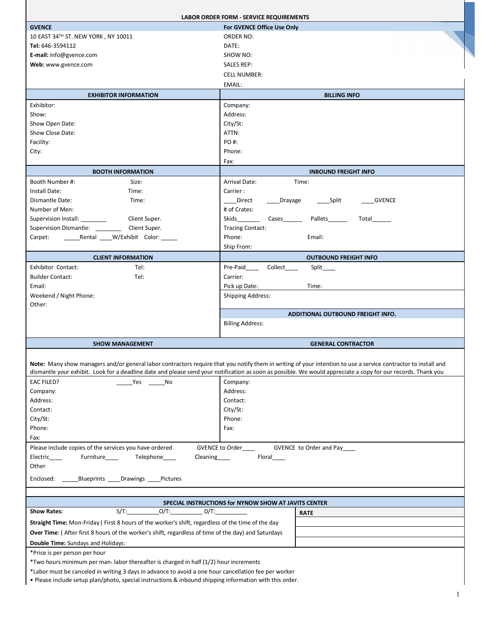|                                                                                                                                                                | <b>LABOR ORDER FORM - SERVICE REQUIREMENTS</b>                                                                                                                |  |
|----------------------------------------------------------------------------------------------------------------------------------------------------------------|---------------------------------------------------------------------------------------------------------------------------------------------------------------|--|
| <b>GVENCE</b>                                                                                                                                                  | For GVENCE Office Use Only                                                                                                                                    |  |
| 10 EAST 34TH ST. NEW YORK, NY 10011                                                                                                                            | <b>ORDER NO:</b>                                                                                                                                              |  |
| Tel: 646-3594112                                                                                                                                               | DATE:                                                                                                                                                         |  |
| E-mail: info@gvence.com                                                                                                                                        | SHOW NO:                                                                                                                                                      |  |
| Web: www.gvence.com                                                                                                                                            | <b>SALES REP:</b>                                                                                                                                             |  |
|                                                                                                                                                                | <b>CELL NUMBER:</b>                                                                                                                                           |  |
|                                                                                                                                                                | EMAIL:                                                                                                                                                        |  |
| <b>EXHIBITOR INFORMATION</b>                                                                                                                                   | <b>BILLING INFO</b>                                                                                                                                           |  |
| Exhibitor:                                                                                                                                                     | Company:                                                                                                                                                      |  |
| Show:                                                                                                                                                          | Address:                                                                                                                                                      |  |
| Show Open Date:                                                                                                                                                | City/St:                                                                                                                                                      |  |
| Show Close Date:                                                                                                                                               | ATTN:                                                                                                                                                         |  |
| Facility:                                                                                                                                                      | PO #:                                                                                                                                                         |  |
| City:                                                                                                                                                          | Phone:                                                                                                                                                        |  |
|                                                                                                                                                                | Fax:                                                                                                                                                          |  |
| <b>BOOTH INFORMATION</b>                                                                                                                                       | <b>INBOUND FREIGHT INFO</b>                                                                                                                                   |  |
| Booth Number #:<br>Size:                                                                                                                                       | <b>Arrival Date:</b><br>Time:                                                                                                                                 |  |
| Install Date:<br>Time:                                                                                                                                         | Carrier:                                                                                                                                                      |  |
| Dismantle Date:<br>Time:                                                                                                                                       | Direct<br>Drayage<br>______Split<br><b>GVENCE</b>                                                                                                             |  |
| Number of Men:                                                                                                                                                 | # of Crates:                                                                                                                                                  |  |
| Supervision Install: _________<br>Client Super.                                                                                                                | Skids<br>Cases<br>Pallets<br>Total                                                                                                                            |  |
| <b>Supervision Dismantle:</b><br>Client Super.                                                                                                                 | <b>Tracing Contact:</b>                                                                                                                                       |  |
| Rental ____ W/Exhibit Color:<br>Carpet:                                                                                                                        | Phone:<br>Email:                                                                                                                                              |  |
|                                                                                                                                                                | Ship From:                                                                                                                                                    |  |
| <b>CLIENT INFORMATION</b>                                                                                                                                      | <b>OUTBOUND FREIGHT INFO</b>                                                                                                                                  |  |
| Exhibitor Contact:<br>Tel:                                                                                                                                     | Collect<br>Pre-Paid____<br>Split                                                                                                                              |  |
| <b>Builder Contact:</b><br>Tel:                                                                                                                                | Carrier:                                                                                                                                                      |  |
| Email:                                                                                                                                                         | Pick up Date:<br>Time:                                                                                                                                        |  |
| Weekend / Night Phone:                                                                                                                                         | <b>Shipping Address:</b>                                                                                                                                      |  |
| Other:                                                                                                                                                         | ADDITIONAL OUTBOUND FREIGHT INFO.                                                                                                                             |  |
|                                                                                                                                                                | <b>Billing Address:</b>                                                                                                                                       |  |
|                                                                                                                                                                |                                                                                                                                                               |  |
| <b>SHOW MANAGEMENT</b>                                                                                                                                         | <b>GENERAL CONTRACTOR</b>                                                                                                                                     |  |
|                                                                                                                                                                |                                                                                                                                                               |  |
| Note: Many show managers and/or general labor contractors require that you notify them in writing of your intention to use a service contractor to install and |                                                                                                                                                               |  |
|                                                                                                                                                                | dismantle your exhibit. Look for a deadline date and please send your notification as soon as possible. We would appreciate a copy for our records. Thank you |  |
| <b>EAC FILED?</b><br>Yes No                                                                                                                                    | Company:                                                                                                                                                      |  |
| Company:                                                                                                                                                       | Address:                                                                                                                                                      |  |
| Address:                                                                                                                                                       | Contact:                                                                                                                                                      |  |
| Contact:                                                                                                                                                       | City/St:                                                                                                                                                      |  |
| City/St:                                                                                                                                                       | Phone:                                                                                                                                                        |  |
| Phone:                                                                                                                                                         | Fax:                                                                                                                                                          |  |
| Fax:                                                                                                                                                           |                                                                                                                                                               |  |
| GVENCE to Order<br>Please include copies of the services you have ordered<br>GVENCE to Order and Pay____                                                       |                                                                                                                                                               |  |
| Electric______   Furniture______   Telephone_____                                                                                                              |                                                                                                                                                               |  |
| Other                                                                                                                                                          |                                                                                                                                                               |  |
| Enclosed: _______Blueprints _____Drawings _____Pictures                                                                                                        |                                                                                                                                                               |  |
|                                                                                                                                                                |                                                                                                                                                               |  |
| SPECIAL INSTRUCTIONS for NYNOW SHOW AT JAVITS CENTER                                                                                                           |                                                                                                                                                               |  |
| $S/T$ : $O/T$ : $D/T$ :<br><b>Show Rates:</b><br><b>RATE</b>                                                                                                   |                                                                                                                                                               |  |
| Straight Time: Mon-Friday (First 8 hours of the worker's shift, regardless of the time of the day                                                              |                                                                                                                                                               |  |
| Over Time: (After first 8 hours of the worker's shift, regardless of time of the day) and Saturdays                                                            |                                                                                                                                                               |  |
| Double Time: Sundays and Holidays:                                                                                                                             |                                                                                                                                                               |  |
| *Price is per person per hour                                                                                                                                  |                                                                                                                                                               |  |
| *Two hours minimum per man-labor thereafter is charged in half (1/2) hour increments                                                                           |                                                                                                                                                               |  |
| *Labor must be canceled in writing 3 days in advance to avoid a one hour cancellation fee per worker                                                           |                                                                                                                                                               |  |

• Please include setup plan/photo, special instructions & inbound shipping information with this order.